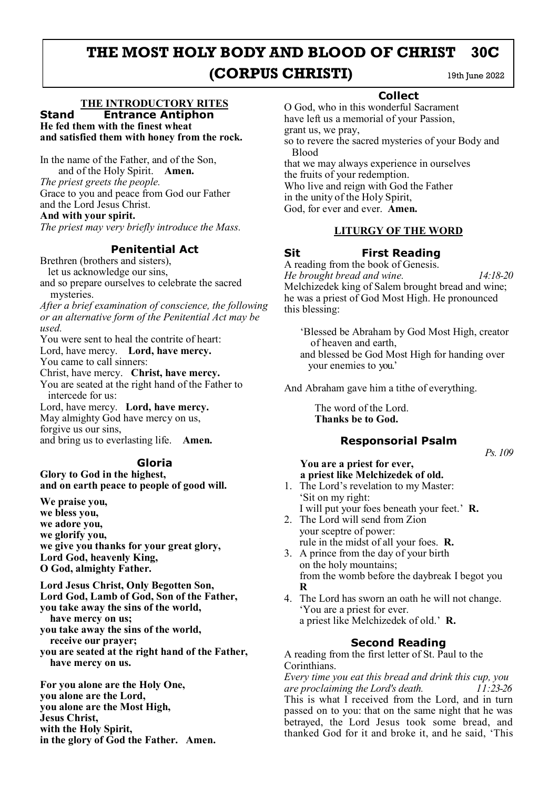# **THE MOST HOLY BODY AND BLOOD OF CHRIST 30C (CORPUS CHRISTI)** 19th June 2022

# **THE INTRODUCTORY RITES**

**Stand Entrance Antiphon He fed them with the finest wheat and satisfied them with honey from the rock.**

In the name of the Father, and of the Son, and of the Holy Spirit. **Amen.** *The priest greets the people.*

Grace to you and peace from God our Father and the Lord Jesus Christ.

**And with your spirit.**

*The priest may very briefly introduce the Mass.*

## **Penitential Act**

Brethren (brothers and sisters),

 let us acknowledge our sins, and so prepare ourselves to celebrate the sacred

mysteries.

*After a brief examination of conscience, the following or an alternative form of the Penitential Act may be used.*

You were sent to heal the contrite of heart:

Lord, have mercy. **Lord, have mercy.**

You came to call sinners:

Christ, have mercy. **Christ, have mercy.**

You are seated at the right hand of the Father to intercede for us:

Lord, have mercy. **Lord, have mercy.**  May almighty God have mercy on us, forgive us our sins, and bring us to everlasting life. **Amen.**

## **Gloria**

**Glory to God in the highest, and on earth peace to people of good will.**

**We praise you, we bless you, we adore you, we glorify you, we give you thanks for your great glory, Lord God, heavenly King, O God, almighty Father.** 

**Lord Jesus Christ, Only Begotten Son, Lord God, Lamb of God, Son of the Father, you take away the sins of the world, have mercy on us; you take away the sins of the world, receive our prayer;**

**you are seated at the right hand of the Father, have mercy on us.**

**For you alone are the Holy One, you alone are the Lord, you alone are the Most High, Jesus Christ, with the Holy Spirit, in the glory of God the Father. Amen.**

## **Collect**

O God, who in this wonderful Sacrament have left us a memorial of your Passion, grant us, we pray, so to revere the sacred mysteries of your Body and Blood that we may always experience in ourselves the fruits of your redemption. Who live and reign with God the Father in the unity of the Holy Spirit, God, for ever and ever. **Amen.**

## **LITURGY OF THE WORD**

## **Sit First Reading**

A reading from the book of Genesis. *He brought bread and wine. 14:18-20* Melchizedek king of Salem brought bread and wine; he was a priest of God Most High. He pronounced this blessing:

'Blessed be Abraham by God Most High, creator of heaven and earth,

and blessed be God Most High for handing over your enemies to you.'

And Abraham gave him a tithe of everything.

The word of the Lord. **Thanks be to God.**

## **Responsorial Psalm**

*Ps. 109*

## **You are a priest for ever, a priest like Melchizedek of old.**

- 1. The Lord's revelation to my Master: 'Sit on my right:
- I will put your foes beneath your feet.' **R.** 2. The Lord will send from Zion your sceptre of power:
- rule in the midst of all your foes. **R.**
- 3. A prince from the day of your birth on the holy mountains; from the womb before the daybreak I begot you **R**
- 4. The Lord has sworn an oath he will not change. 'You are a priest for ever. a priest like Melchizedek of old.' **R.**

## **Second Reading**

A reading from the first letter of St. Paul to the Corinthians.

*Every time you eat this bread and drink this cup, you are proclaiming the Lord's death. 11:23-26* This is what I received from the Lord, and in turn passed on to you: that on the same night that he was betrayed, the Lord Jesus took some bread, and thanked God for it and broke it, and he said, 'This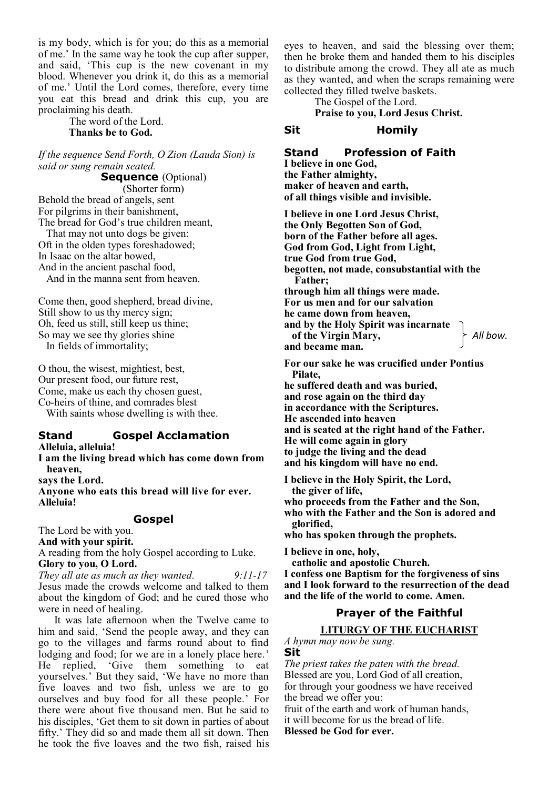is my body, which is for you; do this as a memorial of me.' In the same way he took the cup after supper, and said, 'This cup is the new covenant in my blood. Whenever you drink it, do this as a memorial of me.' Until the Lord comes, therefore, every time you eat this bread and drink this cup, you are proclaiming his death.

> The word of the Lord. **Thanks be to God.**

*If the sequence Send Forth, O Zion (Lauda Sion) is said or sung remain seated.* 

**Sequence** (Optional)

(Shorter form) Behold the bread of angels, sent For pilgrims in their banishment, The bread for God's true children meant,

 That may not unto dogs be given: Oft in the olden types foreshadowed; In Isaac on the altar bowed, And in the ancient paschal food, And in the manna sent from heaven.

Come then, good shepherd, bread divine, Still show to us thy mercy sign; Oh, feed us still, still keep us thine; So may we see thy glories shine In fields of immortality;

O thou, the wisest, mightiest, best, Our present food, our future rest, Come, make us each thy chosen guest, Co-heirs of thine, and comrades blest With saints whose dwelling is with thee.

## **Stand Gospel Acclamation**

**Alleluia, alleluia!**

**I am the living bread which has come down from heaven,**

**says the Lord.**

**Anyone who eats this bread will live for ever. Alleluia!**

#### **Gospel**

The Lord be with you.

**And with your spirit.**

A reading from the holy Gospel according to Luke. **Glory to you, O Lord.**

*They all ate as much as they wanted. 9:11-17* Jesus made the crowds welcome and talked to them about the kingdom of God; and he cured those who were in need of healing.

It was late afternoon when the Twelve came to him and said, 'Send the people away, and they can go to the villages and farms round about to find lodging and food; for we are in a lonely place here.' He replied, 'Give them something to eat yourselves.' But they said, 'We have no more than five loaves and two fish, unless we are to go ourselves and buy food for all these people.' For there were about five thousand men. But he said to his disciples, 'Get them to sit down in parties of about fifty.' They did so and made them all sit down. Then he took the five loaves and the two fish, raised his

eyes to heaven, and said the blessing over them; then he broke them and handed them to his disciples to distribute among the crowd. They all ate as much as they wanted, and when the scraps remaining were collected they filled twelve baskets.

The Gospel of the Lord.

**Praise to you, Lord Jesus Christ.**

#### **Sit Homily**

#### **Stand Profession of Faith**

**I believe in one God, the Father almighty, maker of heaven and earth, of all things visible and invisible.**

**I believe in one Lord Jesus Christ, the Only Begotten Son of God, born of the Father before all ages. God from God, Light from Light, true God from true God, begotten, not made, consubstantial with the Father; through him all things were made. For us men and for our salvation he came down from heaven, and by the Holy Spirit was incarnate of the Virgin Mary, and became man.** *All bow.*

**For our sake he was crucified under Pontius Pilate, he suffered death and was buried, and rose again on the third day in accordance with the Scriptures. He ascended into heaven and is seated at the right hand of the Father. He will come again in glory to judge the living and the dead and his kingdom will have no end.**

**I believe in the Holy Spirit, the Lord, the giver of life, who proceeds from the Father and the Son, who with the Father and the Son is adored and glorified,**

**who has spoken through the prophets.**

**I believe in one, holy,** 

 **catholic and apostolic Church.**

**I confess one Baptism for the forgiveness of sins and I look forward to the resurrection of the dead and the life of the world to come. Amen.**

## **Prayer of the Faithful**

#### **LITURGY OF THE EUCHARIST**

*A hymn may now be sung.*

**Sit** *The priest takes the paten with the bread.* Blessed are you, Lord God of all creation, for through your goodness we have received the bread we offer you:

fruit of the earth and work of human hands, it will become for us the bread of life. **Blessed be God for ever.**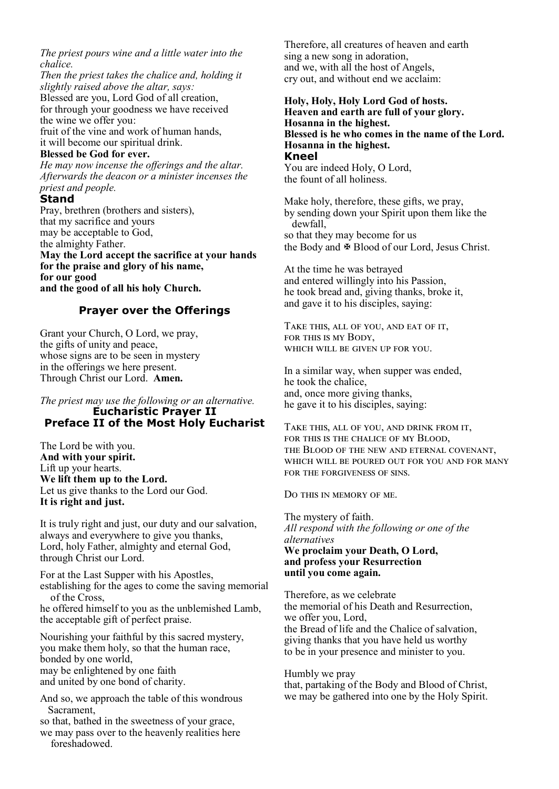*The priest pours wine and a little water into the chalice.*

*Then the priest takes the chalice and, holding it slightly raised above the altar, says:* Blessed are you, Lord God of all creation, for through your goodness we have received the wine we offer you: fruit of the vine and work of human hands,

it will become our spiritual drink.

#### **Blessed be God for ever.**

*He may now incense the offerings and the altar. Afterwards the deacon or a minister incenses the priest and people.*

#### **Stand**

Pray, brethren (brothers and sisters), that my sacrifice and yours may be acceptable to God, the almighty Father. **May the Lord accept the sacrifice at your hands for the praise and glory of his name, for our good and the good of all his holy Church.**

## **Prayer over the Offerings**

Grant your Church, O Lord, we pray, the gifts of unity and peace, whose signs are to be seen in mystery in the offerings we here present. Through Christ our Lord. **Amen.**

#### *The priest may use the following or an alternative.* **Eucharistic Prayer II Preface II of the Most Holy Eucharist**

The Lord be with you. **And with your spirit.** Lift up your hearts. **We lift them up to the Lord.** Let us give thanks to the Lord our God. **It is right and just.**

It is truly right and just, our duty and our salvation, always and everywhere to give you thanks, Lord, holy Father, almighty and eternal God, through Christ our Lord.

For at the Last Supper with his Apostles, establishing for the ages to come the saving memorial of the Cross,

he offered himself to you as the unblemished Lamb, the acceptable gift of perfect praise.

Nourishing your faithful by this sacred mystery, you make them holy, so that the human race, bonded by one world, may be enlightened by one faith and united by one bond of charity.

And so, we approach the table of this wondrous Sacrament,

so that, bathed in the sweetness of your grace, we may pass over to the heavenly realities here foreshadowed.

Therefore, all creatures of heaven and earth sing a new song in adoration, and we, with all the host of Angels, cry out, and without end we acclaim:

**Holy, Holy, Holy Lord God of hosts. Heaven and earth are full of your glory. Hosanna in the highest. Blessed is he who comes in the name of the Lord. Hosanna in the highest. Kneel** You are indeed Holy, O Lord,

the fount of all holiness.

Make holy, therefore, these gifts, we pray, by sending down your Spirit upon them like the dewfall, so that they may become for us the Body and  $\Phi$  Blood of our Lord, Jesus Christ.

At the time he was betrayed and entered willingly into his Passion, he took bread and, giving thanks, broke it, and gave it to his disciples, saying:

Take this, all of you, and eat of it, for this is my Body, which will be given up for you.

In a similar way, when supper was ended, he took the chalice, and, once more giving thanks, he gave it to his disciples, saying:

Take this, all of you, and drink from it, for this is the chalice of my Blood, the Blood of the new and eternal covenant, which will be poured out for you and for many for the forgiveness of sins.

Do this in memory of me.

The mystery of faith. *All respond with the following or one of the alternatives* **We proclaim your Death, O Lord, and profess your Resurrection until you come again.**

Therefore, as we celebrate the memorial of his Death and Resurrection, we offer you, Lord, the Bread of life and the Chalice of salvation, giving thanks that you have held us worthy to be in your presence and minister to you.

Humbly we pray that, partaking of the Body and Blood of Christ, we may be gathered into one by the Holy Spirit.